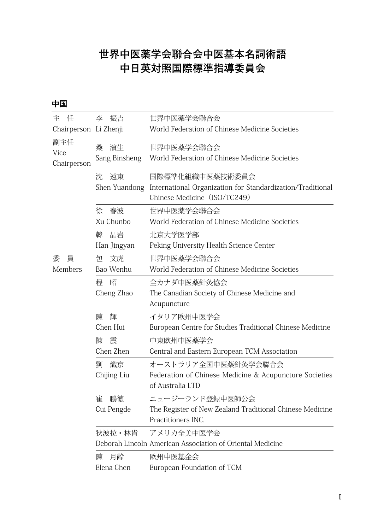## **世界中医薬学会聯合会中医基本名詞術語 中日英対照国際標準指導委員会**

**中国**

| 任<br>主                     | 李<br>振吉                  | 世界中医薬学会聯合会                                                                                                    |
|----------------------------|--------------------------|---------------------------------------------------------------------------------------------------------------|
| Chairperson Li Zhenji      |                          | World Federation of Chinese Medicine Societies                                                                |
| 副主任<br>Vice<br>Chairperson | 濱生<br>桑<br>Sang Binsheng | 世界中医薬学会聯合会<br>World Federation of Chinese Medicine Societies                                                  |
|                            | 遠東<br>沈<br>Shen Yuandong | 国際標準化組織中医薬技術委員会<br>International Organization for Standardization/Traditional<br>Chinese Medicine (ISO/TC249) |
|                            | 春波<br>徐<br>Xu Chunbo     | 世界中医薬学会聯合会<br>World Federation of Chinese Medicine Societies                                                  |
|                            | 晶岩<br>韓<br>Han Jingyan   | 北京大学医学部<br>Peking University Health Science Center                                                            |
| 委<br>員<br>Members          | 文虎<br>包<br>Bao Wenhu     | 世界中医薬学会聯合会<br>World Federation of Chinese Medicine Societies                                                  |
|                            | 昭<br>稈<br>Cheng Zhao     | 全カナダ中医薬針灸協会<br>The Canadian Society of Chinese Medicine and<br>Acupuncture                                    |
|                            | 陳<br>輝<br>Chen Hui       | イタリア欧州中医学会<br>European Centre for Studies Traditional Chinese Medicine                                        |
|                            | 陳<br>震<br>Chen Zhen      | 中東欧州中医薬学会<br>Central and Eastern European TCM Association                                                     |
|                            | 劉<br>熾京<br>Chijing Liu   | オーストラリア全国中医薬針灸学会聯合会<br>Federation of Chinese Medicine & Acupuncture Societies<br>of Australia LTD             |
|                            | 崔<br>鵬徳<br>Cui Pengde    | ニュージーランド登録中医師公会<br>The Register of New Zealand Traditional Chinese Medicine<br>Practitioners INC.             |
|                            | 狄波拉・林肯                   | アメリカ全美中医学会<br>Deborah Lincoln American Association of Oriental Medicine                                       |
|                            | 月齢<br>陳<br>Elena Chen    | 欧州中医基金会<br>European Foundation of TCM                                                                         |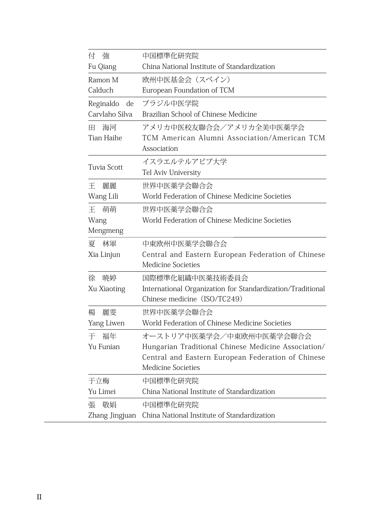| 付<br>強          | 中国標準化研究院                                                   |  |  |  |
|-----------------|------------------------------------------------------------|--|--|--|
| Fu Qiang        | China National Institute of Standardization                |  |  |  |
| Ramon M         | 欧州中医基金会 (スペイン)                                             |  |  |  |
| Calduch         | European Foundation of TCM                                 |  |  |  |
| Reginaldo<br>de | ブラジル中医学院                                                   |  |  |  |
| Carvlaho Silva  | Brazilian School of Chinese Medicine                       |  |  |  |
| 海河<br>H.        | アメリカ中医校友聯合会/アメリカ全美中医薬学会                                    |  |  |  |
| Tian Haihe      | TCM American Alumni Association/American TCM               |  |  |  |
|                 | Association                                                |  |  |  |
|                 | イスラエルテルアビブ大学                                               |  |  |  |
| Tuvia Scott     | Tel Aviv University                                        |  |  |  |
| Ŧ.<br>麗麗        | 世界中医薬学会聯合会                                                 |  |  |  |
| Wang Lili       | World Federation of Chinese Medicine Societies             |  |  |  |
| 萌萌<br>王         | 世界中医薬学会聯合会                                                 |  |  |  |
| Wang            | World Federation of Chinese Medicine Societies             |  |  |  |
| Mengmeng        |                                                            |  |  |  |
| 林軍<br>夏         | 中東欧州中医薬学会聯合会                                               |  |  |  |
| Xia Linjun      | Central and Eastern European Federation of Chinese         |  |  |  |
|                 | Medicine Societies                                         |  |  |  |
| 暁婷<br>徐         | 国際標準化組織中医薬技術委員会                                            |  |  |  |
| Xu Xiaoting     | International Organization for Standardization/Traditional |  |  |  |
|                 | Chinese medicine (ISO/TC249)                               |  |  |  |
| 楊<br>麗雯         | 世界中医薬学会聯合会                                                 |  |  |  |
| Yang Liwen      | World Federation of Chinese Medicine Societies             |  |  |  |
| 福年<br>干         | オーストリア中医薬学会/中東欧州中医薬学会聯合会                                   |  |  |  |
| Yu Funian       | Hungarian Traditional Chinese Medicine Association/        |  |  |  |
|                 | Central and Eastern European Federation of Chinese         |  |  |  |
|                 | Medicine Societies                                         |  |  |  |
| 于立梅             | 中国標準化研究院                                                   |  |  |  |
| Yu Limei        | China National Institute of Standardization                |  |  |  |
| 敬娼<br>張         | 中国標準化研究院                                                   |  |  |  |
| Zhang Jingjuan  | China National Institute of Standardization                |  |  |  |